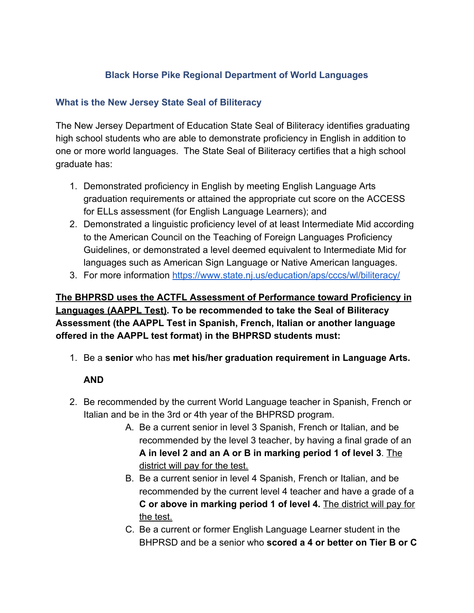## **Black Horse Pike Regional Department of World Languages**

## **What is the New Jersey State Seal of Biliteracy**

The New Jersey Department of Education State Seal of Biliteracy identifies graduating high school students who are able to demonstrate proficiency in English in addition to one or more world languages. The State Seal of Biliteracy certifies that a high school graduate has:

- 1. Demonstrated proficiency in English by meeting English Language Arts graduation requirements or attained the appropriate cut score on the ACCESS for ELLs assessment (for English Language Learners); and
- 2. Demonstrated a linguistic proficiency level of at least Intermediate Mid according to the American Council on the Teaching of Foreign Languages Proficiency Guidelines, or demonstrated a level deemed equivalent to Intermediate Mid for languages such as American Sign Language or Native American languages.
- 3. For more information <https://www.state.nj.us/education/aps/cccs/wl/biliteracy/>

# **The BHPRSD uses the ACTFL Assessment of Performance toward Proficiency in Languages (AAPPL Test). To be recommended to take the Seal of Biliteracy Assessment (the AAPPL Test in Spanish, French, Italian or another language offered in the AAPPL test format) in the BHPRSD students must:**

1. Be a **senior** who has **met his/her graduation requirement in Language Arts.**

# **AND**

- 2. Be recommended by the current World Language teacher in Spanish, French or Italian and be in the 3rd or 4th year of the BHPRSD program.
	- A. Be a current senior in level 3 Spanish, French or Italian, and be recommended by the level 3 teacher, by having a final grade of an **A in level 2 and an A or B in marking period 1 of level 3**. The district will pay for the test.
	- B. Be a current senior in level 4 Spanish, French or Italian, and be recommended by the current level 4 teacher and have a grade of a **C or above in marking period 1 of level 4.** The district will pay for the test.
	- C. Be a current or former English Language Learner student in the BHPRSD and be a senior who **scored a 4 or better on Tier B or C**